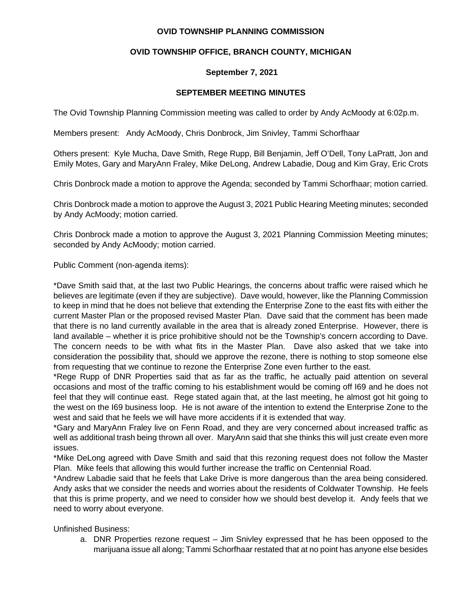### **OVID TOWNSHIP PLANNING COMMISSION**

# **OVID TOWNSHIP OFFICE, BRANCH COUNTY, MICHIGAN**

## **September 7, 2021**

### **SEPTEMBER MEETING MINUTES**

The Ovid Township Planning Commission meeting was called to order by Andy AcMoody at 6:02p.m.

Members present: Andy AcMoody, Chris Donbrock, Jim Snivley, Tammi Schorfhaar

Others present: Kyle Mucha, Dave Smith, Rege Rupp, Bill Benjamin, Jeff O'Dell, Tony LaPratt, Jon and Emily Motes, Gary and MaryAnn Fraley, Mike DeLong, Andrew Labadie, Doug and Kim Gray, Eric Crots

Chris Donbrock made a motion to approve the Agenda; seconded by Tammi Schorfhaar; motion carried.

Chris Donbrock made a motion to approve the August 3, 2021 Public Hearing Meeting minutes; seconded by Andy AcMoody; motion carried.

Chris Donbrock made a motion to approve the August 3, 2021 Planning Commission Meeting minutes; seconded by Andy AcMoody; motion carried.

Public Comment (non-agenda items):

\*Dave Smith said that, at the last two Public Hearings, the concerns about traffic were raised which he believes are legitimate (even if they are subjective). Dave would, however, like the Planning Commission to keep in mind that he does not believe that extending the Enterprise Zone to the east fits with either the current Master Plan or the proposed revised Master Plan. Dave said that the comment has been made that there is no land currently available in the area that is already zoned Enterprise. However, there is land available – whether it is price prohibitive should not be the Township's concern according to Dave. The concern needs to be with what fits in the Master Plan. Dave also asked that we take into consideration the possibility that, should we approve the rezone, there is nothing to stop someone else from requesting that we continue to rezone the Enterprise Zone even further to the east.

\*Rege Rupp of DNR Properties said that as far as the traffic, he actually paid attention on several occasions and most of the traffic coming to his establishment would be coming off I69 and he does not feel that they will continue east. Rege stated again that, at the last meeting, he almost got hit going to the west on the I69 business loop. He is not aware of the intention to extend the Enterprise Zone to the west and said that he feels we will have more accidents if it is extended that way.

\*Gary and MaryAnn Fraley live on Fenn Road, and they are very concerned about increased traffic as well as additional trash being thrown all over. MaryAnn said that she thinks this will just create even more issues.

\*Mike DeLong agreed with Dave Smith and said that this rezoning request does not follow the Master Plan. Mike feels that allowing this would further increase the traffic on Centennial Road.

\*Andrew Labadie said that he feels that Lake Drive is more dangerous than the area being considered. Andy asks that we consider the needs and worries about the residents of Coldwater Township. He feels that this is prime property, and we need to consider how we should best develop it. Andy feels that we need to worry about everyone.

Unfinished Business:

a. DNR Properties rezone request – Jim Snivley expressed that he has been opposed to the marijuana issue all along; Tammi Schorfhaar restated that at no point has anyone else besides